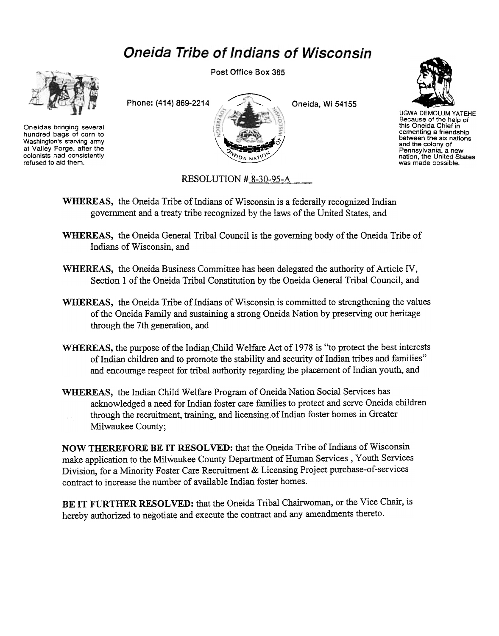## **Oneida Tribe of Indians of Wisconsin**



Oneidas bringing several hundred bags of corn to Washington's starving army at Valley Forge, after the colonists had consistently refused to aid them.

Post Office Box 365





UGWA DEMOLUM YATEHE Because of the help of this Oneida Chief in cementing a friendship<br>between the six nation and the colony of Pennsylvania, a new nation, the United States was made possible.

RESOLUTION # 8-30-95-A

- WHEREAS, the Oneida Tribe of Indians of Wisconsin is a federally recognized Indian government and a treaty tribe recognized by the laws of the United States, and
- WHEREAS, the Oneida General Tribal Council is the governing body of the Oneida Tribe of Indians of Wisconsin, and
- WHEREAS, the Oneida Business Committee has been delegated the authority of Article IV, Section 1 of the Oneida Tribal Constitution by the Oneida General Tribal Council, and
- WHEREAS, the Oneida Tribe of Indians of Wisconsin is committed to strengthening the values of the Oneida Family and sustaining a strong Oneida Nation by preserving our heritage through the 7th generation, and
- WHEREAS, the purpose of the Indian Child Welfare Act of 1978 is "to protect the best interests of Indian children and to promote the stability and security of Indian tribes and families" and encourage respect for tribal authority regarding the placement of Indian youth, and
- WHEREAS, the Indian Child Welfare Program of Oneida Nation Social Services has acknowledged a need for Indian foster care families to protect and serve Oneida children through the recruitment, training, and licensing of Indian foster homes in Greater  $\sim$  . Milwaukee County;

NOW THEREFORE BE IT RESOLVED: that the Oneida Tribe of Indians of Wisconsin make application to the Milwaukee County Department of Human Services, Youth Services Division, for a Minority Foster Care Recruitment & Licensing Project purchase-of-services contract to increase the number of available Indian foster homes.

BE IT FURTHER RESOLVED: that the Oneida Tribal Chairwoman, or the Vice Chair, is hereby authorized to negotiate and execute the contract and any amendments thereto.